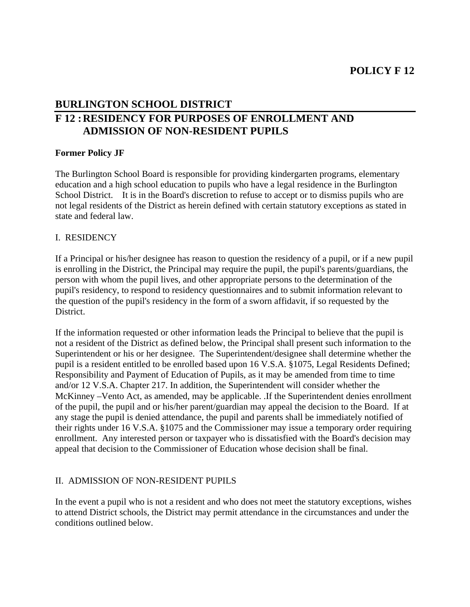# **BURLINGTON SCHOOL DISTRICT F 12 : RESIDENCY FOR PURPOSES OF ENROLLMENT AND ADMISSION OF NON-RESIDENT PUPILS**

#### **Former Policy JF**

The Burlington School Board is responsible for providing kindergarten programs, elementary education and a high school education to pupils who have a legal residence in the Burlington School District. It is in the Board's discretion to refuse to accept or to dismiss pupils who are not legal residents of the District as herein defined with certain statutory exceptions as stated in state and federal law.

#### I. RESIDENCY

If a Principal or his/her designee has reason to question the residency of a pupil, or if a new pupil is enrolling in the District, the Principal may require the pupil, the pupil's parents/guardians, the person with whom the pupil lives, and other appropriate persons to the determination of the pupil's residency, to respond to residency questionnaires and to submit information relevant to the question of the pupil's residency in the form of a sworn affidavit, if so requested by the District.

If the information requested or other information leads the Principal to believe that the pupil is not a resident of the District as defined below, the Principal shall present such information to the Superintendent or his or her designee. The Superintendent/designee shall determine whether the pupil is a resident entitled to be enrolled based upon 16 V.S.A. §1075, Legal Residents Defined; Responsibility and Payment of Education of Pupils, as it may be amended from time to time and/or 12 V.S.A. Chapter 217. In addition, the Superintendent will consider whether the McKinney –Vento Act, as amended, may be applicable. .If the Superintendent denies enrollment of the pupil, the pupil and or his/her parent/guardian may appeal the decision to the Board. If at any stage the pupil is denied attendance, the pupil and parents shall be immediately notified of their rights under 16 V.S.A. §1075 and the Commissioner may issue a temporary order requiring enrollment. Any interested person or taxpayer who is dissatisfied with the Board's decision may appeal that decision to the Commissioner of Education whose decision shall be final.

# II. ADMISSION OF NON-RESIDENT PUPILS

In the event a pupil who is not a resident and who does not meet the statutory exceptions, wishes to attend District schools, the District may permit attendance in the circumstances and under the conditions outlined below.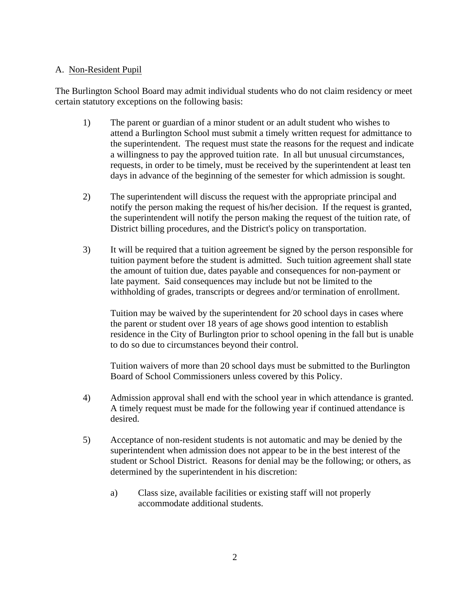#### A. Non-Resident Pupil

The Burlington School Board may admit individual students who do not claim residency or meet certain statutory exceptions on the following basis:

- 1) The parent or guardian of a minor student or an adult student who wishes to attend a Burlington School must submit a timely written request for admittance to the superintendent. The request must state the reasons for the request and indicate a willingness to pay the approved tuition rate. In all but unusual circumstances, requests, in order to be timely, must be received by the superintendent at least ten days in advance of the beginning of the semester for which admission is sought.
- 2) The superintendent will discuss the request with the appropriate principal and notify the person making the request of his/her decision. If the request is granted, the superintendent will notify the person making the request of the tuition rate, of District billing procedures, and the District's policy on transportation.
- 3) It will be required that a tuition agreement be signed by the person responsible for tuition payment before the student is admitted. Such tuition agreement shall state the amount of tuition due, dates payable and consequences for non-payment or late payment. Said consequences may include but not be limited to the withholding of grades, transcripts or degrees and/or termination of enrollment.

 Tuition may be waived by the superintendent for 20 school days in cases where the parent or student over 18 years of age shows good intention to establish residence in the City of Burlington prior to school opening in the fall but is unable to do so due to circumstances beyond their control.

 Tuition waivers of more than 20 school days must be submitted to the Burlington Board of School Commissioners unless covered by this Policy.

- 4) Admission approval shall end with the school year in which attendance is granted. A timely request must be made for the following year if continued attendance is desired.
- 5) Acceptance of non-resident students is not automatic and may be denied by the superintendent when admission does not appear to be in the best interest of the student or School District. Reasons for denial may be the following; or others, as determined by the superintendent in his discretion:
	- a) Class size, available facilities or existing staff will not properly accommodate additional students.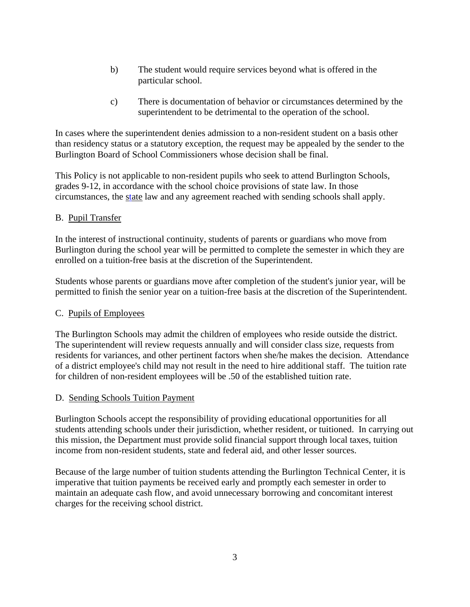- b) The student would require services beyond what is offered in the particular school.
- c) There is documentation of behavior or circumstances determined by the superintendent to be detrimental to the operation of the school.

In cases where the superintendent denies admission to a non-resident student on a basis other than residency status or a statutory exception, the request may be appealed by the sender to the Burlington Board of School Commissioners whose decision shall be final.

This Policy is not applicable to non-resident pupils who seek to attend Burlington Schools, grades 9-12, in accordance with the school choice provisions of state law. In those circumstances, the state law and any agreement reached with sending schools shall apply.

### B. Pupil Transfer

In the interest of instructional continuity, students of parents or guardians who move from Burlington during the school year will be permitted to complete the semester in which they are enrolled on a tuition-free basis at the discretion of the Superintendent.

Students whose parents or guardians move after completion of the student's junior year, will be permitted to finish the senior year on a tuition-free basis at the discretion of the Superintendent.

#### C. Pupils of Employees

The Burlington Schools may admit the children of employees who reside outside the district. The superintendent will review requests annually and will consider class size, requests from residents for variances, and other pertinent factors when she/he makes the decision. Attendance of a district employee's child may not result in the need to hire additional staff. The tuition rate for children of non-resident employees will be .50 of the established tuition rate.

#### D. Sending Schools Tuition Payment

Burlington Schools accept the responsibility of providing educational opportunities for all students attending schools under their jurisdiction, whether resident, or tuitioned. In carrying out this mission, the Department must provide solid financial support through local taxes, tuition income from non-resident students, state and federal aid, and other lesser sources.

Because of the large number of tuition students attending the Burlington Technical Center, it is imperative that tuition payments be received early and promptly each semester in order to maintain an adequate cash flow, and avoid unnecessary borrowing and concomitant interest charges for the receiving school district.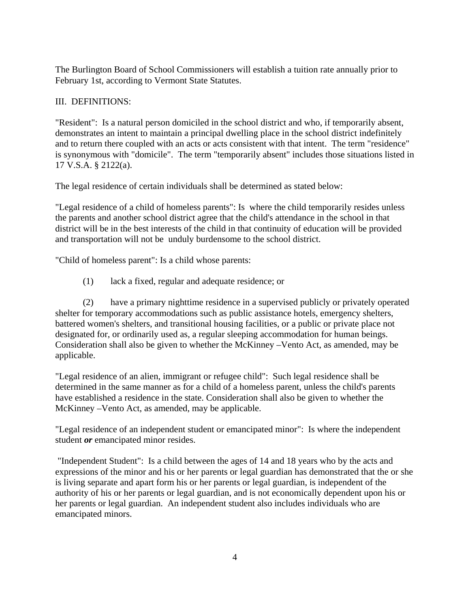The Burlington Board of School Commissioners will establish a tuition rate annually prior to February 1st, according to Vermont State Statutes.

## III. DEFINITIONS:

"Resident": Is a natural person domiciled in the school district and who, if temporarily absent, demonstrates an intent to maintain a principal dwelling place in the school district indefinitely and to return there coupled with an acts or acts consistent with that intent. The term "residence" is synonymous with "domicile". The term "temporarily absent" includes those situations listed in 17 V.S.A. § 2122(a).

The legal residence of certain individuals shall be determined as stated below:

"Legal residence of a child of homeless parents": Is where the child temporarily resides unless the parents and another school district agree that the child's attendance in the school in that district will be in the best interests of the child in that continuity of education will be provided and transportation will not be unduly burdensome to the school district.

"Child of homeless parent": Is a child whose parents:

(1) lack a fixed, regular and adequate residence; or

 (2) have a primary nighttime residence in a supervised publicly or privately operated shelter for temporary accommodations such as public assistance hotels, emergency shelters, battered women's shelters, and transitional housing facilities, or a public or private place not designated for, or ordinarily used as, a regular sleeping accommodation for human beings. Consideration shall also be given to whether the McKinney –Vento Act, as amended, may be applicable.

"Legal residence of an alien, immigrant or refugee child": Such legal residence shall be determined in the same manner as for a child of a homeless parent, unless the child's parents have established a residence in the state. Consideration shall also be given to whether the McKinney –Vento Act, as amended, may be applicable.

"Legal residence of an independent student or emancipated minor": Is where the independent student *or* emancipated minor resides.

 "Independent Student": Is a child between the ages of 14 and 18 years who by the acts and expressions of the minor and his or her parents or legal guardian has demonstrated that the or she is living separate and apart form his or her parents or legal guardian, is independent of the authority of his or her parents or legal guardian, and is not economically dependent upon his or her parents or legal guardian. An independent student also includes individuals who are emancipated minors.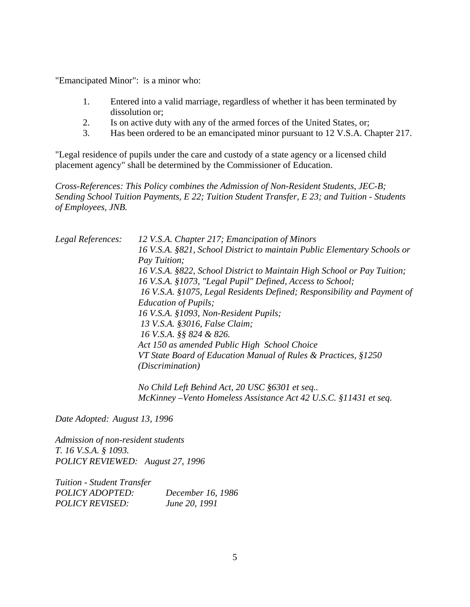"Emancipated Minor": is a minor who:

- 1. Entered into a valid marriage, regardless of whether it has been terminated by dissolution or;
- 2. Is on active duty with any of the armed forces of the United States, or;
- 3. Has been ordered to be an emancipated minor pursuant to 12 V.S.A. Chapter 217.

"Legal residence of pupils under the care and custody of a state agency or a licensed child placement agency" shall be determined by the Commissioner of Education.

*Cross-References: This Policy combines the Admission of Non-Resident Students, JEC-B; Sending School Tuition Payments, E 22; Tuition Student Transfer, E 23; and Tuition - Students of Employees, JNB.* 

| Legal References: | 12 V.S.A. Chapter 217; Emancipation of Minors                            |
|-------------------|--------------------------------------------------------------------------|
|                   | 16 V.S.A. §821, School District to maintain Public Elementary Schools or |
|                   | Pay Tuition;                                                             |
|                   | 16 V.S.A. §822, School District to Maintain High School or Pay Tuition;  |
|                   | 16 V.S.A. §1073, "Legal Pupil" Defined, Access to School;                |
|                   | 16 V.S.A. §1075, Legal Residents Defined; Responsibility and Payment of  |
|                   | <i>Education of Pupils;</i>                                              |
|                   | 16 V.S.A. §1093, Non-Resident Pupils;                                    |
|                   | 13 V.S.A. §3016, False Claim;                                            |
|                   | 16 V.S.A. §§ 824 & 826.                                                  |
|                   | Act 150 as amended Public High School Choice                             |
|                   | VT State Board of Education Manual of Rules & Practices, §1250           |
|                   | <i>(Discrimination)</i>                                                  |
|                   |                                                                          |

 *No Child Left Behind Act, 20 USC §6301 et seq.. McKinney –Vento Homeless Assistance Act 42 U.S.C. §11431 et seq.* 

*Date Adopted: August 13, 1996* 

*Admission of non-resident students T. 16 V.S.A. § 1093. POLICY REVIEWED: August 27, 1996* 

*Tuition - Student Transfer POLICY ADOPTED: December 16, 1986 POLICY REVISED: June 20, 1991*